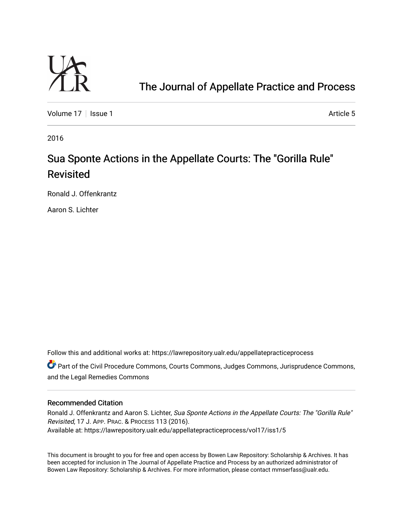

# [The Journal of Appellate Practice and Process](https://lawrepository.ualr.edu/appellatepracticeprocess)

[Volume 17](https://lawrepository.ualr.edu/appellatepracticeprocess/vol17) | [Issue 1](https://lawrepository.ualr.edu/appellatepracticeprocess/vol17/iss1) Article 5

2016

# Sua Sponte Actions in the Appellate Courts: The "Gorilla Rule" Revisited

Ronald J. Offenkrantz

Aaron S. Lichter

Follow this and additional works at: [https://lawrepository.ualr.edu/appellatepracticeprocess](https://lawrepository.ualr.edu/appellatepracticeprocess?utm_source=lawrepository.ualr.edu%2Fappellatepracticeprocess%2Fvol17%2Fiss1%2F5&utm_medium=PDF&utm_campaign=PDFCoverPages) 

Part of the [Civil Procedure Commons,](http://network.bepress.com/hgg/discipline/584?utm_source=lawrepository.ualr.edu%2Fappellatepracticeprocess%2Fvol17%2Fiss1%2F5&utm_medium=PDF&utm_campaign=PDFCoverPages) [Courts Commons](http://network.bepress.com/hgg/discipline/839?utm_source=lawrepository.ualr.edu%2Fappellatepracticeprocess%2Fvol17%2Fiss1%2F5&utm_medium=PDF&utm_campaign=PDFCoverPages), [Judges Commons](http://network.bepress.com/hgg/discipline/849?utm_source=lawrepository.ualr.edu%2Fappellatepracticeprocess%2Fvol17%2Fiss1%2F5&utm_medium=PDF&utm_campaign=PDFCoverPages), [Jurisprudence Commons,](http://network.bepress.com/hgg/discipline/610?utm_source=lawrepository.ualr.edu%2Fappellatepracticeprocess%2Fvol17%2Fiss1%2F5&utm_medium=PDF&utm_campaign=PDFCoverPages) and the [Legal Remedies Commons](http://network.bepress.com/hgg/discipline/618?utm_source=lawrepository.ualr.edu%2Fappellatepracticeprocess%2Fvol17%2Fiss1%2F5&utm_medium=PDF&utm_campaign=PDFCoverPages) 

#### Recommended Citation

Ronald J. Offenkrantz and Aaron S. Lichter, Sua Sponte Actions in the Appellate Courts: The "Gorilla Rule" Revisited, 17 J. APP. PRAC. & PROCESS 113 (2016). Available at: https://lawrepository.ualr.edu/appellatepracticeprocess/vol17/iss1/5

This document is brought to you for free and open access by [Bowen Law Repository: Scholarship & Archives.](macro%20site.link) It has been accepted for inclusion in The Journal of Appellate Practice and Process by an authorized administrator of Bowen Law Repository: Scholarship & Archives. For more information, please contact [mmserfass@ualr.edu.](mailto:mmserfass@ualr.edu)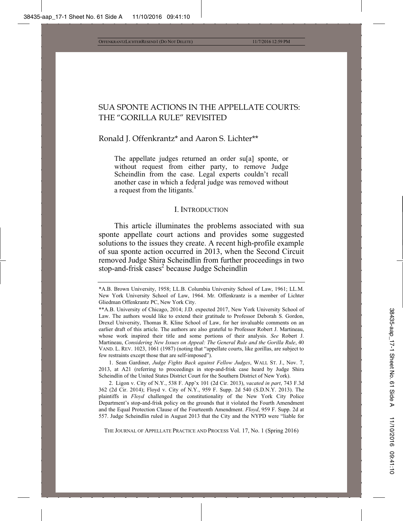# SUA SPONTE ACTIONS IN THE APPELLATE COURTS: THE "GORILLA RULE" REVISITED

### Ronald J. Offenkrantz\* and Aaron S. Lichter\*\*

The appellate judges returned an order su[a] sponte, or without request from either party, to remove Judge Scheindlin from the case. Legal experts couldn't recall another case in which a federal judge was removed without a request from the litigants.<sup>1</sup>

#### I. INTRODUCTION

This article illuminates the problems associated with sua sponte appellate court actions and provides some suggested solutions to the issues they create. A recent high-profile example of sua sponte action occurred in 2013, when the Second Circuit removed Judge Shira Scheindlin from further proceedings in two stop-and-frisk cases<sup>2</sup> because Judge Scheindlin

 1. Sean Gardiner, *Judge Fights Back against Fellow Judges*, WALL ST. J., Nov. 7, 2013, at A21 (referring to proceedings in stop-and-frisk case heard by Judge Shira Scheindlin of the United States District Court for the Southern District of New York).

 2. Ligon v. City of N.Y., 538 F. App'x 101 (2d Cir. 2013), *vacated in part*, 743 F.3d 362 (2d Cir. 2014); Floyd v. City of N.Y., 959 F. Supp. 2d 540 (S.D.N.Y. 2013). The plaintiffs in *Floyd* challenged the constitutionality of the New York City Police Department's stop-and-frisk policy on the grounds that it violated the Fourth Amendment and the Equal Protection Clause of the Fourteenth Amendment. *Floyd*, 959 F. Supp. 2d at 557. Judge Scheindlin ruled in August 2013 that the City and the NYPD were "liable for

THE JOURNAL OF APPELLATE PRACTICE AND PROCESS Vol. 17, No. 1 (Spring 2016)

<sup>\*</sup>A.B. Brown University, 1958; LL.B. Columbia University School of Law, 1961; LL.M. New York University School of Law, 1964. Mr. Offenkrantz is a member of Lichter Gliedman Offenkrantz PC, New York City.

<sup>\*\*</sup>A.B. University of Chicago, 2014; J.D. expected 2017, New York University School of Law. The authors would like to extend their gratitude to Professor Deborah S. Gordon, Drexel University, Thomas R. Kline School of Law, for her invaluable comments on an earlier draft of this article. The authors are also grateful to Professor Robert J. Martineau, whose work inspired their title and some portions of their analysis. *See* Robert J. Martineau, *Considering New Issues on Appeal: The General Rule and the Gorilla Rule*, 40 VAND. L. REV. 1023, 1061 (1987) (noting that "appellate courts, like gorillas, are subject to few restraints except those that are self-imposed").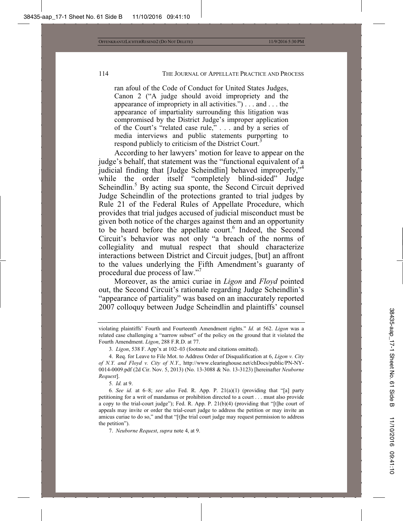ran afoul of the Code of Conduct for United States Judges, Canon 2 ("A judge should avoid impropriety and the appearance of impropriety in all activities.") . . . and . . . the appearance of impartiality surrounding this litigation was compromised by the District Judge's improper application of the Court's "related case rule," . . . and by a series of media interviews and public statements purporting to respond publicly to criticism of the District Court.<sup>3</sup>

According to her lawyers' motion for leave to appear on the judge's behalf, that statement was the "functional equivalent of a judicial finding that [Judge Scheindlin] behaved improperly,"<sup>4</sup> while the order itself "completely blind-sided" Judge Scheindlin.<sup>5</sup> By acting sua sponte, the Second Circuit deprived Judge Scheindlin of the protections granted to trial judges by Rule 21 of the Federal Rules of Appellate Procedure, which provides that trial judges accused of judicial misconduct must be given both notice of the charges against them and an opportunity to be heard before the appellate court.<sup>6</sup> Indeed, the Second Circuit's behavior was not only "a breach of the norms of collegiality and mutual respect that should characterize interactions between District and Circuit judges, [but] an affront to the values underlying the Fifth Amendment's guaranty of procedural due process of law."<sup>7</sup>

Moreover, as the amici curiae in *Ligon* and *Floyd* pointed out, the Second Circuit's rationale regarding Judge Scheindlin's "appearance of partiality" was based on an inaccurately reported 2007 colloquy between Judge Scheindlin and plaintiffs' counsel

5*. Id.* at 9.

violating plaintiffs' Fourth and Fourteenth Amendment rights." *Id.* at 562. *Ligon* was a related case challenging a "narrow subset" of the policy on the ground that it violated the Fourth Amendment. *Ligon*, 288 F.R.D. at 77.

<sup>3</sup>*. Ligon*, 538 F. App'x at 102–03 (footnote and citations omitted).

 <sup>4.</sup> Req. for Leave to File Mot. to Address Order of Disqualification at 6, *Ligon v. City of N.Y. and Floyd v. City of N.Y.*, http://www.clearinghouse.net/chDocs/public/PN-NY-0014-0009.pdf (2d Cir. Nov. 5, 2013) (No. 13-3088 & No. 13-3123) [hereinafter *Neuborne Request*].

<sup>6</sup>*. See id.* at 6–8; *see also* Fed. R. App. P. 21(a)(1) (providing that "[a] party petitioning for a writ of mandamus or prohibition directed to a court . . . must also provide a copy to the trial-court judge"); Fed. R. App. P.  $21(b)(4)$  (providing that "[t]he court of appeals may invite or order the trial-court judge to address the petition or may invite an amicus curiae to do so," and that "[t]he trial court judge may request permission to address the petition").

 <sup>7.</sup> *Neuborne Request*, *supra* note 4, at 9.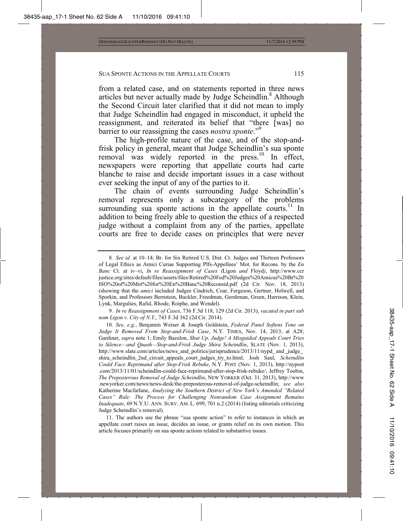from a related case, and on statements reported in three news articles but never actually made by Judge Scheindlin.<sup>8</sup> Although the Second Circuit later clarified that it did not mean to imply that Judge Scheindlin had engaged in misconduct, it upheld the reassignment, and reiterated its belief that "there [was] no barrier to our reassigning the cases *nostra sponte*."<sup>9</sup>

The high-profile nature of the case, and of the stop-andfrisk policy in general, meant that Judge Scheindlin's sua sponte removal was widely reported in the press.<sup>10</sup> In effect, newspapers were reporting that appellate courts had carte blanche to raise and decide important issues in a case without ever seeking the input of any of the parties to it.

The chain of events surrounding Judge Scheindlin's removal represents only a subcategory of the problems surrounding sua sponte actions in the appellate courts.<sup>11</sup> In addition to being freely able to question the ethics of a respected judge without a complaint from any of the parties, appellate courts are free to decide cases on principles that were never

9*. In re Reassignment of Cases*, 736 F.3d 118, 129 (2d Cir. 2013), *vacated in part sub nom Ligon v. City of N.Y.*, 743 F.3d 362 (2d Cir. 2014).

 11. The authors use the phrase "sua sponte action" to refer to instances in which an appellate court raises an issue, decides an issue, or grants relief on its own motion. This article focuses primarily on sua sponte actions related to substantive issues.

<sup>8</sup>*. See id.* at 10–14; Br. for Six Retired U.S. Dist. Ct. Judges and Thirteen Professors of Legal Ethics as Amici Curiae Supporting Plfs-Appellees' Mot. for Recons. by the *En Banc* Ct. at iv–vi, *In re Reassignment of Cases (*Ligon *and* Floyd*)*, http://www.ccr justice.org/sites/default/files/assets/files/Retired%20Fed%20Judges%20Amicus%20Br%20 ISO%20of%20Mot%20for%20En%20Banc%20Reconsid.pdf (2d Cir. Nov. 18, 2013) (showing that the *amici* included Judges Cindrich, Coar, Fergeson, Gertner, Holwell, and Sporkin, and Professors Bernstein, Buckler, Freedman, Gershman, Green, Harrison, Klein, Lynk, Margulies, Raful, Rhode, Roiphe, and Wendel).

<sup>10</sup>*. See, e.g.*, Benjamin Weiser & Joseph Goldstein, *Federal Panel Softens Tone on Judge It Removed From Stop-and-Frisk Case*, N.Y. TIMES, Nov. 14, 2013, at A28; Gardiner, *supra* note 1; Emily Bazelon, *Shut Up, Judge! A Misguided Appeals Court Tries to Silence—and Quash—Stop-and-Frisk Judge Shira Scheindlin*, SLATE (Nov. 1, 2013), http://www.slate.com/articles/news\_and\_politics/jurisprudence/2013/11/nypd\_ and \_judge\_ shira\_scheindlin\_2nd\_circuit\_appeals\_court\_judges\_try\_to.html; Josh Saul, *Scheindlin Could Face Reprimand after Stop-Frisk Rebuke*, N.Y. POST (Nov. 1, 2013), http://nypost .com/2013/11/01/scheindlin-could-face-reprimand-after-stop-frisk-rebuke/; Jeffrey Toobin, *The Preposterous Removal of Judge Scheindlin*, NEW YORKER (Oct. 31, 2013), http://www .newyorker.com/news/news-desk/the-preposterous-removal-of-judge-scheindlin; *see also* Katherine Macfarlane, *Analyzing the Southern District of New York's Amended "Related Cases" Rule: The Process for Challenging Nonrandom Case Assignment Remains Inadequate*, 69 N.Y.U. ANN. SURV. AM. L. 699, 701 n.2 (2014) (listing editorials criticizing Judge Scheindlin's removal).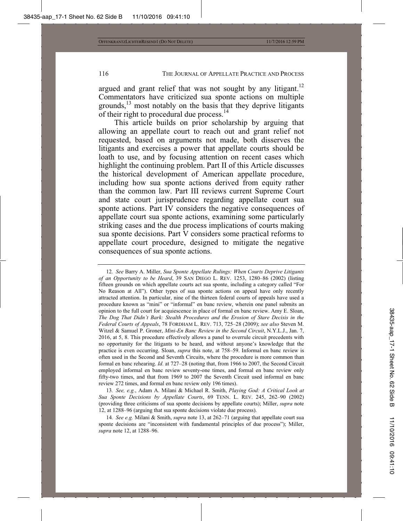argued and grant relief that was not sought by any litigant.<sup>12</sup> Commentators have criticized sua sponte actions on multiple grounds, $^{13}$  most notably on the basis that they deprive litigants of their right to procedural due process.<sup>14</sup>

This article builds on prior scholarship by arguing that allowing an appellate court to reach out and grant relief not requested, based on arguments not made, both disserves the litigants and exercises a power that appellate courts should be loath to use, and by focusing attention on recent cases which highlight the continuing problem. Part II of this Article discusses the historical development of American appellate procedure, including how sua sponte actions derived from equity rather than the common law. Part III reviews current Supreme Court and state court jurisprudence regarding appellate court sua sponte actions. Part IV considers the negative consequences of appellate court sua sponte actions, examining some particularly striking cases and the due process implications of courts making sua sponte decisions. Part V considers some practical reforms to appellate court procedure, designed to mitigate the negative consequences of sua sponte actions.

12*. See* Barry A. Miller, *Sua Sponte Appellate Rulings: When Courts Deprive Litigants of an Opportunity to be Heard*, 39 SAN DIEGO L. REV. 1253, 1280–86 (2002) (listing fifteen grounds on which appellate courts act sua sponte, including a category called "For No Reason at All"). Other types of sua sponte actions on appeal have only recently attracted attention. In particular, nine of the thirteen federal courts of appeals have used a procedure known as "mini" or "informal" en banc review, wherein one panel submits an opinion to the full court for acquiescence in place of formal en banc review. Amy E. Sloan, *The Dog That Didn't Bark: Stealth Procedures and the Erosion of Stare Decisis in the Federal Courts of Appeals*, 78 FORDHAM L. REV. 713, 725–28 (2009); *see also* Steven M. Witzel & Samuel P. Groner, *Mini-En Banc Review in the Second Circuit*, N.Y.L.J., Jan. 7, 2016, at 5, 8. This procedure effectively allows a panel to overrule circuit precedents with no opportunity for the litigants to be heard, and without anyone's knowledge that the practice is even occurring. Sloan, *supra* this note, at 758–59. Informal en banc review is often used in the Second and Seventh Circuits, where the procedure is more common than formal en banc rehearing. *Id.* at 727–28 (noting that, from 1966 to 2007, the Second Circuit employed informal en banc review seventy-one times, and formal en banc review only fifty-two times, and that from 1969 to 2007 the Seventh Circuit used informal en banc review 272 times, and formal en banc review only 196 times).

13*. See, e.g.*, Adam A. Milani & Michael R. Smith, *Playing God: A Critical Look at Sua Sponte Decisions by Appellate Courts*, 69 TENN. L. REV. 245, 262–90 (2002) (providing three criticisms of sua sponte decisions by appellate courts); Miller, *supra* note 12, at 1288–96 (arguing that sua sponte decisions violate due process).

14*. See e.g.* Milani & Smith, *supra* note 13, at 262–71 (arguing that appellate court sua sponte decisions are "inconsistent with fundamental principles of due process"); Miller, *supra* note 12, at 1288–96.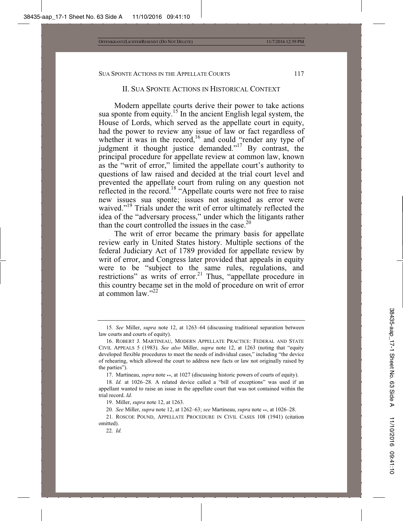#### II. SUA SPONTE ACTIONS IN HISTORICAL CONTEXT

Modern appellate courts derive their power to take actions sua sponte from equity.<sup>15</sup> In the ancient English legal system, the House of Lords, which served as the appellate court in equity, had the power to review any issue of law or fact regardless of whether it was in the record,<sup>16</sup> and could "render any type of judgment it thought justice demanded."<sup>17</sup> By contrast, the principal procedure for appellate review at common law, known as the "writ of error," limited the appellate court's authority to questions of law raised and decided at the trial court level and prevented the appellate court from ruling on any question not reflected in the record.<sup>18</sup> "Appellate courts were not free to raise new issues sua sponte; issues not assigned as error were waived."<sup>19</sup> Trials under the writ of error ultimately reflected the idea of the "adversary process," under which the litigants rather than the court controlled the issues in the case  $^{20}$ 

The writ of error became the primary basis for appellate review early in United States history. Multiple sections of the federal Judiciary Act of 1789 provided for appellate review by writ of error, and Congress later provided that appeals in equity were to be "subject to the same rules, regulations, and restrictions" as writs of error.<sup>21</sup> Thus, "appellate procedure in this country became set in the mold of procedure on writ of error at common law $"$ <sup>22</sup>

17. Martineau, *supra* note \*\*, at 1027 (discussing historic powers of courts of equity).

<sup>15</sup>*. See* Miller, *supra* note 12, at 1263–64 (discussing traditional separation between law courts and courts of equity).

 <sup>16.</sup> ROBERT J. MARTINEAU, MODERN APPELLATE PRACTICE: FEDERAL AND STATE CIVIL APPEALS 5 (1983). *See also* Miller, *supra* note 12, at 1263 (noting that "equity developed flexible procedures to meet the needs of individual cases," including "the device of rehearing, which allowed the court to address new facts or law not originally raised by the parties").

<sup>18</sup>*. Id.* at 1026–28. A related device called a "bill of exceptions" was used if an appellant wanted to raise an issue in the appellate court that was not contained within the trial record. *Id.*

 <sup>19.</sup> Miller, *supra* note 12, at 1263.

<sup>20</sup>*. See* Miller, *supra* note 12, at 1262–63; *see* Martineau, *supra* note \*\*, at 1026–28.

<sup>21</sup>*.* ROSCOE POUND, APPELLATE PROCEDURE IN CIVIL CASES 108 (1941) (citation omitted).

<sup>22</sup>*. Id.*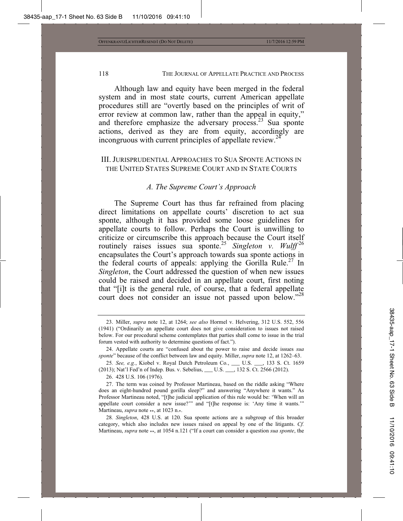Although law and equity have been merged in the federal system and in most state courts, current American appellate procedures still are "overtly based on the principles of writ of error review at common law, rather than the appeal in equity," and therefore emphasize the adversary process.<sup>23</sup> Sua sponte actions, derived as they are from equity, accordingly are incongruous with current principles of appellate review.<sup>24</sup>

### III. JURISPRUDENTIAL APPROACHES TO SUA SPONTE ACTIONS IN THE UNITED STATES SUPREME COURT AND IN STATE COURTS

#### *A. The Supreme Court's Approach*

The Supreme Court has thus far refrained from placing direct limitations on appellate courts' discretion to act sua sponte, although it has provided some loose guidelines for appellate courts to follow. Perhaps the Court is unwilling to criticize or circumscribe this approach because the Court itself routinely raises issues sua sponte.<sup>25</sup> *Singleton v. Wulff*<sup>26</sup> encapsulates the Court's approach towards sua sponte actions in the federal courts of appeals: applying the Gorilla Rule.<sup>27</sup> In *Singleton*, the Court addressed the question of when new issues could be raised and decided in an appellate court, first noting that "[i]t is the general rule, of course, that a federal appellate court does not consider an issue not passed upon below."<sup>28</sup>

 <sup>23.</sup> Miller, *supra* note 12, at 1264; *see also* Hormel v. Helvering, 312 U.S. 552, 556 (1941) ("Ordinarily an appellate court does not give consideration to issues not raised below. For our procedural scheme contemplates that parties shall come to issue in the trial forum vested with authority to determine questions of fact.").

 <sup>24.</sup> Appellate courts are "confused about the power to raise and decide issues *sua sponte*" because of the conflict between law and equity. Miller, *supra* note 12, at 1262–63.

<sup>25</sup>*. See, e.g.*, Kiobel v. Royal Dutch Petroleum Co*.*, \_\_\_ U.S. \_\_\_, 133 S. Ct. 1659 (2013); Nat'l Fed'n of Indep. Bus. v. Sebelius, \_\_\_ U.S. \_\_\_, 132 S. Ct. 2566 (2012).

 <sup>26. 428</sup> U.S. 106 (1976).

 <sup>27.</sup> The term was coined by Professor Martineau, based on the riddle asking "Where does an eight-hundred pound gorilla sleep?" and answering "Anywhere it wants." As Professor Martineau noted, "[t]he judicial application of this rule would be: 'When will an appellate court consider a new issue?'" and "[t]he response is: 'Any time it wants.'" Martineau, *supra* note \*\*, at 1023 n.\*.

<sup>28</sup>*. Singleton*, 428 U.S. at 120. Sua sponte actions are a subgroup of this broader category, which also includes new issues raised on appeal by one of the litigants. *Cf.* Martineau, *supra* note \*\*, at 1054 n.121 ("If a court can consider a question *sua sponte*, the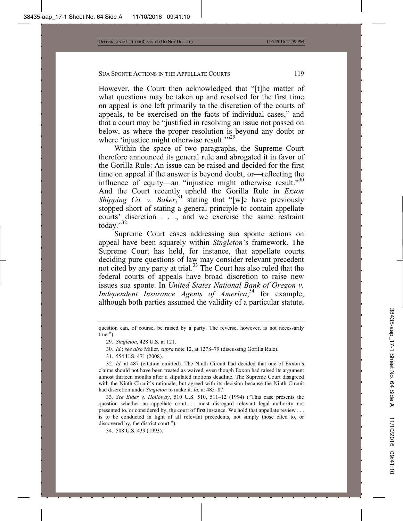However, the Court then acknowledged that "[t]he matter of what questions may be taken up and resolved for the first time on appeal is one left primarily to the discretion of the courts of appeals, to be exercised on the facts of individual cases," and that a court may be "justified in resolving an issue not passed on below, as where the proper resolution is beyond any doubt or where 'injustice might otherwise result.'"<sup>29</sup>

Within the space of two paragraphs, the Supreme Court therefore announced its general rule and abrogated it in favor of the Gorilla Rule: An issue can be raised and decided for the first time on appeal if the answer is beyond doubt, or—reflecting the influence of equity—an "injustice might otherwise result."<sup>30</sup> And the Court recently upheld the Gorilla Rule in *Exxon Shipping Co. v. Baker*<sup>31</sup> stating that "[w]e have previously stopped short of stating a general principle to contain appellate courts' discretion . . ., and we exercise the same restraint today."32

Supreme Court cases addressing sua sponte actions on appeal have been squarely within *Singleton*'s framework. The Supreme Court has held, for instance, that appellate courts deciding pure questions of law may consider relevant precedent not cited by any party at trial.<sup>33</sup> The Court has also ruled that the federal courts of appeals have broad discretion to raise new issues sua sponte. In *United States National Bank of Oregon v. Independent Insurance Agents of America*, 34 for example, although both parties assumed the validity of a particular statute,

- 30*. Id.*; *see also* Miller, *supra* note 12, at 1278–79 (discussing Gorilla Rule).
- 31. 554 U.S. 471 (2008).

32*. Id.* at 487 (citation omitted). The Ninth Circuit had decided that one of Exxon's claims should not have been treated as waived, even though Exxon had raised its argument almost thirteen months after a stipulated motions deadline. The Supreme Court disagreed with the Ninth Circuit's rationale, but agreed with its decision because the Ninth Circuit had discretion under *Singleton* to make it. *Id.* at 485–87.

33*. See Elder v. Holloway*, 510 U.S. 510, 511–12 (1994) ("This case presents the question whether an appellate court . . . must disregard relevant legal authority not presented to, or considered by, the court of first instance. We hold that appellate review . . . is to be conducted in light of all relevant precedents, not simply those cited to, or discovered by, the district court.").

34. 508 U.S. 439 (1993).

question can, of course, be raised by a party. The reverse, however, is not necessarily true.").

<sup>29</sup>*. Singleton*, 428 U.S*.* at 121.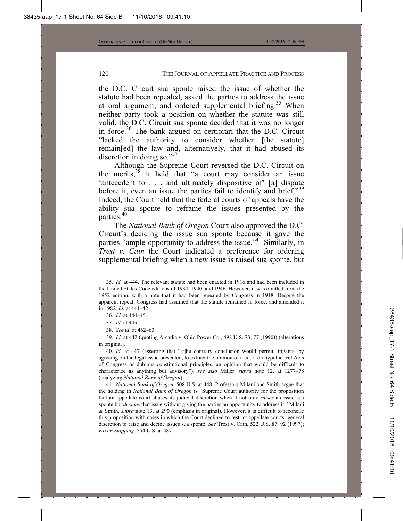the D.C. Circuit sua sponte raised the issue of whether the statute had been repealed, asked the parties to address the issue at oral argument, and ordered supplemental briefing.<sup>35</sup> When neither party took a position on whether the statute was still valid, the D.C. Circuit sua sponte decided that it was no longer in force.<sup>36</sup> The bank argued on certiorari that the D.C. Circuit "lacked the authority to consider whether [the statute] remain[ed] the law and, alternatively, that it had abused its discretion in doing so." $37$ 

Although the Supreme Court reversed the D.C. Circuit on the merits, $38$  it held that "a court may consider an issue 'antecedent to . . . and ultimately dispositive of' [a] dispute before it, even an issue the parties fail to identify and brief."39 Indeed, the Court held that the federal courts of appeals have the ability sua sponte to reframe the issues presented by the parties.40

The *National Bank of Oregon* Court also approved the D.C. Circuit's deciding the issue sua sponte because it gave the parties "ample opportunity to address the issue."41 Similarly, in *Trest v. Cain* the Court indicated a preference for ordering supplemental briefing when a new issue is raised sua sponte, but

41*. National Bank of Oregon*, 508 U.S. at 448. Professors Milani and Smith argue that the holding in *National Bank of Oregon* is "Supreme Court authority for the proposition that an appellate court abuses its judicial discretion when it not only *raises* an issue sua sponte but *decides* that issue without giving the parties an opportunity to address it." Milani & Smith, *supra* note 13, at 290 (emphasis in original). However, it is difficult to reconcile this proposition with cases in which the Court declined to restrict appellate courts' general discretion to raise and decide issues sua sponte. *See* Trest v. Cain, 522 U.S. 87, 92 (1997); *Exxon Shipping*, 554 U.S. at 487.

<sup>35</sup>*. Id.* at 444. The relevant statute had been enacted in 1916 and had been included in the United States Code editions of 1934, 1940, and 1946. However, it was omitted from the 1952 edition, with a note that it had been repealed by Congress in 1918. Despite the apparent repeal, Congress had assumed that the statute remained in force, and amended it in 1982. *Id.* at 441–42.

<sup>36</sup>*. Id.* at 444–45.

<sup>37</sup>*. Id.* at 445.

<sup>38</sup>*. See id.* at 462–63.

<sup>39</sup>*. Id.* at 447 (quoting Arcadia v. Ohio Power Co., 498 U.S. 73, 77 (1990)) (alterations in original).

<sup>40</sup>*. Id.* at 447 (asserting that "[t]he contrary conclusion would permit litigants, by agreeing on the legal issue presented, to extract the opinion of a court on hypothetical Acts of Congress or dubious constitutional principles, an opinion that would be difficult to characterize as anything but advisory"); *see also* Miller, *supra* note 12, at 1277–78 (analyzing *National Bank of Oregon*).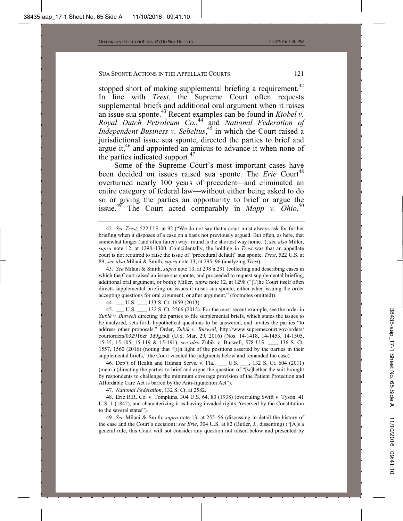stopped short of making supplemental briefing a requirement.<sup>42</sup> In line with *Trest*, the Supreme Court often requests supplemental briefs and additional oral argument when it raises an issue sua sponte.43 Recent examples can be found in *Kiobel v. Royal Dutch Petroleum Co.*, 44 and *National Federation of Independent Business v. Sebelius*, 45 in which the Court raised a jurisdictional issue sua sponte, directed the parties to brief and argue it,<sup>46</sup> and appointed an amicus to advance it when none of the parties indicated support.<sup>47</sup>

Some of the Supreme Court's most important cases have been decided on issues raised sua sponte. The *Erie* Court<sup>48</sup> overturned nearly 100 years of precedent*—*and eliminated an entire category of federal law—without either being asked to do so or giving the parties an opportunity to brief or argue the issue.<sup>49</sup> The Court acted comparably in *Mapp v. Ohio*,<sup>50</sup>

43*. See* Milani & Smith, *supra* note 13, at 298 n.291 (collecting and describing cases in which the Court raised an issue sua sponte, and proceeded to request supplemental briefing, additional oral argument, or both); Miller, *supra* note 12, at 1298 ("[T]he Court itself often directs supplemental briefing on issues it raises sua sponte, either when issuing the order accepting questions for oral argument, or after argument." (footnotes omitted)).

44*.* \_\_\_ U.S. \_\_\_, 133 S. Ct. 1659 (2013).

45. U.S.  $\phantom{0}$ , 132 S. Ct. 2566 (2012). For the most recent example, see the order in *Zubik v. Burwell* directing the parties to file supplemental briefs, which states the issues to be analyzed, sets forth hypothetical questions to be answered, and invites the parties "to address other proposals." Order, *Zubik v. Burwell*, http://www.supremecourt.gov/orders/ courtorders/032916zr\_3d9g.pdf (U.S. Mar. 29, 2016) (Nos. 14-1418, 14-1453, 14-1505, 15-35, 15-105, 15-119 & 15-191); *see also* Zubik v. Burwell, 578 U.S. \_\_\_, 136 S. Ct. 1557, 1560 (2016) (noting that "[i]n light of the positions asserted by the parties in their supplemental briefs," the Court vacated the judgments below and remanded the case)*.*

46*.* Dep't of Health and Human Servs. v. Fla., \_\_\_ U.S. \_\_\_, 132 S. Ct. 604 (2011) (mem.) (directing the parties to brief and argue the question of "[w]hether the suit brought by respondents to challenge the minimum coverage provision of the Patient Protection and Affordable Care Act is barred by the Anti-Injunction Act").

47*. National Federation*, 132 S. Ct. at 2582.

 48. Erie R.R. Co. v. Tompkins, 304 U.S. 64, 80 (1938) (overruling Swift v. Tyson, 41 U.S. 1 (1842), and characterizing it as having invaded rights "reserved by the Constitution to the several states").

49*. See* Milani & Smith, *supra* note 13, at 255–56 (discussing in detail the history of the case and the Court's decision); *see Erie*, 304 U.S. at 82 (Butler, J., dissenting) ("[A]s a general rule, this Court will not consider any question not raised below and presented by

<sup>42</sup>*. See Trest*, 522 U.S. at 92 ("We do not say that a court must always ask for further briefing when it disposes of a case on a basis not previously argued. But often, as here, that somewhat longer (and often fairer) way 'round is the shortest way home."); *see also* Miller, *supra* note 12, at 1298–1300. Coincidentally, the holding in *Trest* was that an appellate court is not required to raise the issue of "procedural default" sua sponte. *Trest*, 522 U.S. at 89; *see also* Milani & Smith, *supra* note 13, at 295–96 (analyzing *Trest*).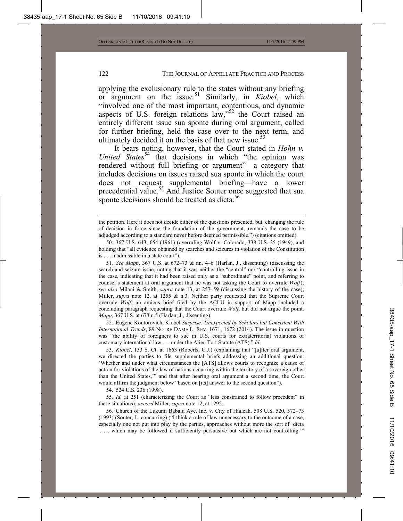applying the exclusionary rule to the states without any briefing or argument on the issue.51 Similarly, in *Kiobel*, which "involved one of the most important, contentious, and dynamic aspects of U.S. foreign relations law,"<sup>52</sup> the Court raised an entirely different issue sua sponte during oral argument, called for further briefing, held the case over to the next term, and ultimately decided it on the basis of that new issue. $53$ 

It bears noting, however, that the Court stated in *Hohn v. United States*<sup>54</sup> that decisions in which "the opinion was rendered without full briefing or argument"—a category that includes decisions on issues raised sua sponte in which the court does not request supplemental briefing—have a lower precedential value.<sup>55</sup> And Justice Souter once suggested that sua sponte decisions should be treated as dicta.<sup>56</sup>

 52. Eugene Kontorovich, Kiobel *Surprise: Unexpected by Scholars but Consistent With International Trends*, 89 NOTRE DAME L. REV. 1671, 1672 (2014). The issue in question was "the ability of foreigners to sue in U.S. courts for extraterritorial violations of customary international law . . . under the Alien Tort Statute (ATS)." *Id.*

 53. *Kiobel*, 133 S. Ct. at 1663 (Roberts, C.J.) (explaining that "[a]fter oral argument, we directed the parties to file supplemental briefs addressing an additional question: 'Whether and under what circumstances the [ATS] allows courts to recognize a cause of action for violations of the law of nations occurring within the territory of a sovereign other than the United States,'" and that after hearing oral argument a second time, the Court would affirm the judgment below "based on [its] answer to the second question").

54. 524 U.S. 236 (1998).

55*. Id.* at 251 (characterizing the Court as "less constrained to follow precedent" in these situations); *accord* Miller, *supra* note 12, at 1292.

56*.* Church of the Lukumi Babalu Aye, Inc. v. City of Hialeah, 508 U.S. 520, 572–73 (1993) (Souter, J., concurring) ("I think a rule of law unnecessary to the outcome of a case, especially one not put into play by the parties, approaches without more the sort of 'dicta . . . which may be followed if sufficiently persuasive but which are not controlling.'"

the petition. Here it does not decide either of the questions presented, but, changing the rule of decision in force since the foundation of the government, remands the case to be adjudged according to a standard never before deemed permissible.") (citations omitted).

 <sup>50. 367</sup> U.S. 643, 654 (1961) (overruling Wolf v. Colorado, 338 U.S. 25 (1949), and holding that "all evidence obtained by searches and seizures in violation of the Constitution is . . . inadmissible in a state court").

<sup>51</sup>*. See Mapp*, 367 U.S. at 672–73 & nn. 4–6 (Harlan, J., dissenting) (discussing the search-and-seizure issue, noting that it was neither the "central" nor "controlling issue in the case, indicating that it had been raised only as a "subordinate" point, and referring to counsel's statement at oral argument that he was not asking the Court to overrule *Wolf*); *see also* Milani & Smith, *supra* note 13, at 257–59 (discussing the history of the case); Miller, *supra* note 12, at 1255 & n.3. Neither party requested that the Supreme Court overrule *Wolf*; an amicus brief filed by the ACLU in support of Mapp included a concluding paragraph requesting that the Court overrule *Wolf*, but did not argue the point. *Mapp*, 367 U.S. at 673 n.5 (Harlan, J., dissenting).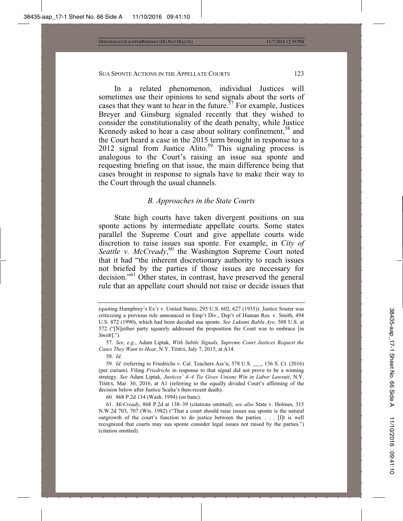In a related phenomenon, individual Justices will sometimes use their opinions to send signals about the sorts of cases that they want to hear in the future.<sup>57</sup> For example, Justices Breyer and Ginsburg signaled recently that they wished to consider the constitutionality of the death penalty, while Justice Kennedy asked to hear a case about solitary confinement,<sup>58</sup> and the Court heard a case in the 2015 term brought in response to a 2012 signal from Justice Alito.<sup>59</sup> This signaling process is analogous to the Court's raising an issue sua sponte and requesting briefing on that issue, the main difference being that cases brought in response to signals have to make their way to the Court through the usual channels.

#### *B. Approaches in the State Courts*

State high courts have taken divergent positions on sua sponte actions by intermediate appellate courts. Some states parallel the Supreme Court and give appellate courts wide discretion to raise issues sua sponte. For example, in *City of*  Seattle v. McCready,<sup>60</sup> the Washington Supreme Court noted that it had "the inherent discretionary authority to reach issues not briefed by the parties if those issues are necessary for decision."61 Other states, in contrast, have preserved the general rule that an appellate court should not raise or decide issues that

<sup>(</sup>quoting Humphrey's Ex'r v. United States, 295 U.S. 602, 627 (1935)). Justice Souter was criticizing a previous rule announced in Emp't Div., Dep't of Human Res. v. Smith, 494 U.S. 872 (1990), which had been decided sua sponte. *See Lukumi Bablu Aye*, 508 U.S. at 572 ("[N]either party squarely addressed the proposition the Court was to embrace [in *Smith*].").

 <sup>57.</sup> *See, e.g.*, Adam Liptak, *With Subtle Signals, Supreme Court Justices Request the Cases They Want to Hear*, N.Y. TIMES, July 7, 2015, at A14.

 <sup>58.</sup> *Id.*

<sup>59</sup>*. Id.* (referring to Friedrichs v. Cal. Teachers Ass'n, 578 U.S. \_\_\_, 136 S. Ct. (2016) (per curiam). Filing *Friedrichs* in response to that signal did not prove to be a winning strategy. *See* Adam Liptak, *Justices' 4–4 Tie Gives Unions Win in Labor Lawsuit*, N.Y. TIMES, Mar. 30, 2016, at A1 (referring to the equally divided Court's affirming of the decision below after Justice Scalia's then-recent death).

<sup>60</sup>*.* 868 P.2d 134 (Wash. 1994) (en banc).

 <sup>61.</sup> *McCready*, 868 P.2d at 138–39 (citations omitted); *see also* State v. Holmes, 315 N.W.2d 703, 707 (Wis. 1982) ("That a court should raise issues sua sponte is the natural outgrowth of the court's function to do justice between the parties. . . . [I]t is well recognized that courts may sua sponte consider legal issues not raised by the parties.") (citation omitted).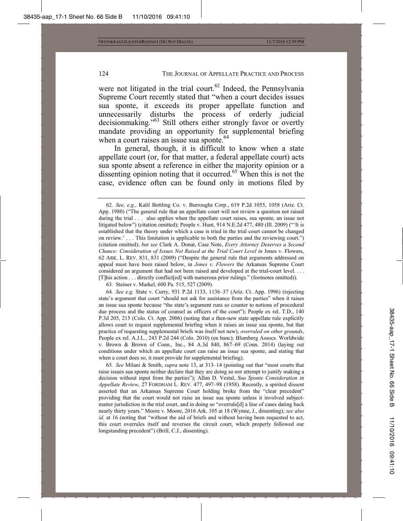were not litigated in the trial court.<sup>62</sup> Indeed, the Pennsylvania Supreme Court recently stated that "when a court decides issues sua sponte, it exceeds its proper appellate function and unnecessarily disturbs the process of orderly judicial decisionmaking."<sup>63</sup> Still others either strongly favor or overtly mandate providing an opportunity for supplemental briefing when a court raises an issue sua sponte.<sup>64</sup>

In general, though, it is difficult to know when a state appellate court (or, for that matter, a federal appellate court) acts sua sponte absent a reference in either the majority opinion or a dissenting opinion noting that it occurred.<sup>65</sup> When this is not the case, evidence often can be found only in motions filed by

63*.* Steiner v. Markel, 600 Pa. 515, 527 (2009).

64*. See e.g.* State v. Curry, 931 P.2d 1133, 1136–37 (Ariz. Ct. App. 1996) (rejecting state's argument that court "should not ask for assistance from the parties" when it raises an issue sua sponte because "the state's argument runs so counter to notions of procedural due process and the status of counsel as officers of the court"); People ex rel. T.D., 140 P.3d 205, 215 (Colo. Ct. App. 2006) (noting that a then-new state appellate rule explicitly allows court to request supplemental briefing when it raises an issue sua sponte, but that practice of requesting supplemental briefs was itself not new), *overruled on other grounds*, People ex rel. A.J.L., 243 P.2d 244 (Colo. 2010) (en banc); Blumberg Assocs. Worldwide v. Brown & Brown of Conn., Inc., 84 A.3d 840, 867–69 (Conn. 2014) (laying out conditions under which an appellate court can raise an issue sua sponte, and stating that when a court does so, it must provide for supplemental briefing).

65*. See* Milani & Smith, *supra* note 13, at 313–14 (pointing out that "most courts that raise issues sua sponte neither declare that they are doing so nor attempt to justify making a decision without input from the parties"); Allan D. Vestal, *Sua Sponte Consideration in Appellate Review*, 27 FORDHAM L. REV. 477, 497–98 (1958). Recently, a spirited dissent asserted that an Arkansas Supreme Court holding broke from the "clear precedent" providing that the court would not raise an issue sua sponte unless it involved subjectmatter jurisdiction in the trial court, and in doing so "overrule[d] a line of cases dating back nearly thirty years." Moore v. Moore, 2016 Ark. 105 at 18 (Wynne, J., dissenting); *see also id.* at 16 (noting that "without the aid of briefs and without having been requested to act, this court overrules itself and reverses the circuit court, which properly followed our longstanding precedent") (Brill, C.J., dissenting).

<sup>62</sup>*. See, e.g.*, Kalil Bottling Co. v. Burroughs Corp., 619 P.2d 1055, 1058 (Ariz. Ct. App. 1980) ("The general rule that an appellate court will not review a question not raised during the trial  $\ldots$  also applies when the appellate court raises, sua sponte, an issue not litigated below") (citation omitted); People v. Hunt, 914 N.E.2d 477, 480 (Ill. 2009) ("'It is established that the theory under which a case is tried in the trial court cannot be changed on review.' . . . This limitation is applicable to both the parties and the reviewing court.") (citation omitted); *but see* Clark A. Donat, Case Note, *Every Attorney Deserves a Second Chance: Consideration of Issues Not Raised at the Trial Court Level in Jones v. Flowers,* 62 ARK. L. REV. 831, 831 (2009) ("Despite the general rule that arguments addressed on appeal must have been raised below, in *Jones v. Flowers* the Arkansas Supreme Court considered an argument that had not been raised and developed at the trial-court level. . . . [T]his action . . . directly conflict[ed] with numerous prior rulings." (footnotes omitted)).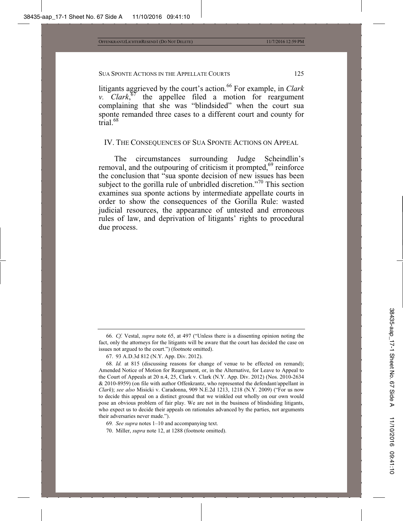litigants aggrieved by the court's action.<sup>66</sup> For example, in *Clark v. Clark*, 67 the appellee filed a motion for reargument complaining that she was "blindsided" when the court sua sponte remanded three cases to a different court and county for trial.<sup>68</sup>

IV. THE CONSEQUENCES OF SUA SPONTE ACTIONS ON APPEAL

The circumstances surrounding Judge Scheindlin's removal, and the outpouring of criticism it prompted, $69$  reinforce the conclusion that "sua sponte decision of new issues has been subject to the gorilla rule of unbridled discretion."<sup>70</sup> This section examines sua sponte actions by intermediate appellate courts in order to show the consequences of the Gorilla Rule: wasted judicial resources, the appearance of untested and erroneous rules of law, and deprivation of litigants' rights to procedural due process.

- 69*. See supra* notes 1–10 and accompanying text.
- 70. Miller, *supra* note 12, at 1288 (footnote omitted).

<sup>66</sup>*. Cf.* Vestal, *supra* note 65, at 497 ("Unless there is a dissenting opinion noting the fact, only the attorneys for the litigants will be aware that the court has decided the case on issues not argued to the court.") (footnote omitted).

 <sup>67. 93</sup> A.D.3d 812 (N.Y. App. Div. 2012).

<sup>68</sup>*. Id.* at 815 (discussing reasons for change of venue to be effected on remand); Amended Notice of Motion for Reargument, or, in the Alternative, for Leave to Appeal to the Court of Appeals at 20 n.4, 25, Clark v. Clark (N.Y. App. Div. 2012) (Nos. 2010-2634 & 2010-8959) (on file with author Offenkrantz, who represented the defendant/appellant in *Clark*); *see also* Misicki v. Caradonna, 909 N.E.2d 1213, 1218 (N.Y. 2009) ("For us now to decide this appeal on a distinct ground that we winkled out wholly on our own would pose an obvious problem of fair play. We are not in the business of blindsiding litigants, who expect us to decide their appeals on rationales advanced by the parties, not arguments their adversaries never made.").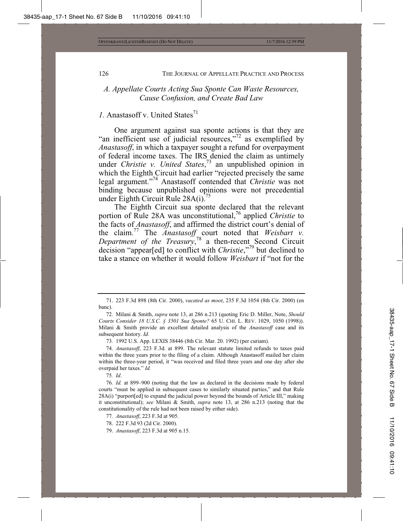#### *A. Appellate Courts Acting Sua Sponte Can Waste Resources, Cause Confusion, and Create Bad Law*

## *I.* Anastasoff v. United States<sup>71</sup>

One argument against sua sponte actions is that they are "an inefficient use of judicial resources,"<sup>72</sup> as exemplified by *Anastasoff*, in which a taxpayer sought a refund for overpayment of federal income taxes. The IRS denied the claim as untimely under *Christie v. United States*, 73 an unpublished opinion in which the Eighth Circuit had earlier "rejected precisely the same legal argument."74 Anastasoff contended that *Christie* was not binding because unpublished opinions were not precedential under Eighth Circuit Rule  $28A(i)$ .<sup>75</sup>

The Eighth Circuit sua sponte declared that the relevant portion of Rule 28A was unconstitutional,<sup>76</sup> applied *Christie* to the facts of *Anastasoff*, and affirmed the district court's denial of the claim.<sup>77</sup> The *Anastasoff* court noted that *Weisbart v.* Department of the Treasury,<sup>78</sup> a then-recent Second Circuit decision "appear[ed] to conflict with *Christie*,"79 but declined to take a stance on whether it would follow *Weisbart* if "not for the

73*.* 1992 U.S. App. LEXIS 38446 (8th Cir. Mar. 20. 1992) (per curiam).

 74. *Anastasoff*, 223 F.3d. at 899. The relevant statute limited refunds to taxes paid within the three years prior to the filing of a claim. Although Anastasoff mailed her claim within the three-year period, it "was received and filed three years and one day after she overpaid her taxes." *Id.*

75*. Id*.

 <sup>71. 223</sup> F.3d 898 (8th Cir. 2000), *vacated as moot*, 235 F.3d 1054 (8th Cir. 2000) (en banc).

 <sup>72.</sup> Milani & Smith, *supra* note 13, at 286 n.213 (quoting Eric D. Miller, Note, *Should Courts Consider 18 U.S.C. § 3501 Sua Sponte?* 65 U. CHI. L. REV. 1029, 1050 (1998)). Milani & Smith provide an excellent detailed analysis of the *Anastasoff* case and its subsequent history. *Id.*

<sup>76</sup>*. Id.* at 899–900 (noting that the law as declared in the decisions made by federal courts "must be applied in subsequent cases to similarly situated parties," and that Rule 28A(i) "purport[ed] to expand the judicial power beyond the bounds of Article III," making it unconstitutional); *see* Milani & Smith, *supra* note 13, at 286 n.213 (noting that the constitutionality of the rule had not been raised by either side).

<sup>77</sup>*. Anastasoff*, 223 F.3d at 905.

 <sup>78. 222</sup> F.3d 93 (2d Cir. 2000).

 <sup>79.</sup> *Anastasoff*, 223 F.3d at 905 n.15.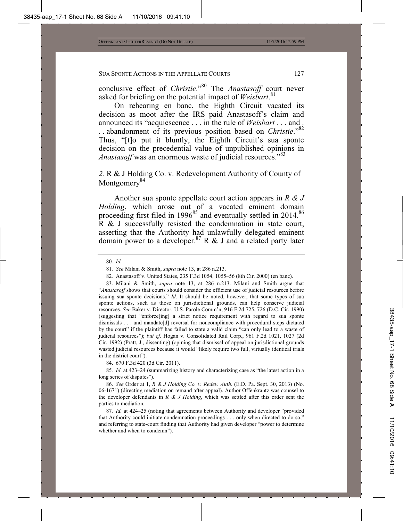conclusive effect of *Christie*."80 The *Anastasoff* court never asked for briefing on the potential impact of *Weisbart*. 81

On rehearing en banc, the Eighth Circuit vacated its decision as moot after the IRS paid Anastasoff's claim and announced its "acquiescence . . . in the rule of *Weisbart* . . . and . . . abandonment of its previous position based on *Christie*."82 Thus, "[t]o put it bluntly, the Eighth Circuit's sua sponte decision on the precedential value of unpublished opinions in *Anastasoff* was an enormous waste of judicial resources."<sup>83</sup>

#### *2.* R & J Holding Co. v. Redevelopment Authority of County of Montgomery<sup>84</sup>

Another sua sponte appellate court action appears in *R & J Holding*, which arose out of a vacated eminent domain proceeding first filed in  $1996^{85}$  and eventually settled in 2014.<sup>86</sup> R & J successfully resisted the condemnation in state court, asserting that the Authority had unlawfully delegated eminent domain power to a developer.<sup>87</sup> R  $\&$  J and a related party later

 83. Milani & Smith, *supra* note 13, at 286 n.213. Milani and Smith argue that "*Anastasoff* shows that courts should consider the efficient use of judicial resources before issuing sua sponte decisions." *Id.* It should be noted, however, that some types of sua sponte actions, such as those on jurisdictional grounds, can help conserve judicial resources. *See* Baker v. Director, U.S. Parole Comm'n, 916 F.2d 725, 726 (D.C. Cir. 1990) (suggesting that "enforce[ing] a strict notice requirement with regard to sua sponte dismissals . . . and mandate[d] reversal for noncompliance with procedural steps dictated by the court" if the plaintiff has failed to state a valid claim "can only lead to a waste of judicial resources"); *but cf.* Hogan v. Consolidated Rail Corp*.*, 961 F.2d 1021, 1027 (2d Cir. 1992) (Pratt, J., dissenting) (opining that dismissal of appeal on jurisdictional grounds wasted judicial resources because it would "likely require two full, virtually identical trials in the district court").

84. 670 F.3d 420 (3d Cir. 2011).

85*. Id*. at 423–24 (summarizing history and characterizing case as "the latest action in a long series of disputes").

 86. *See* Order at 1, *R & J Holding Co. v. Redev. Auth.* (E.D. Pa. Sept. 30, 2013) (No. 06-1671) (directing mediation on remand after appeal). Author Offenkrantz was counsel to the developer defendants in *R & J Holding*, which was settled after this order sent the parties to mediation.

87*. Id.* at 424–25 (noting that agreements between Authority and developer "provided that Authority could initiate condemnation proceedings . . . only when directed to do so," and referring to state-court finding that Authority had given developer "power to determine whether and when to condemn").

<sup>80</sup>*. Id.*

<sup>81</sup>*. See* Milani & Smith, *supra* note 13, at 286 n.213.

<sup>82</sup>*.* Anastasoff v. United States, 235 F.3d 1054, 1055–56 (8th Cir. 2000) (en banc).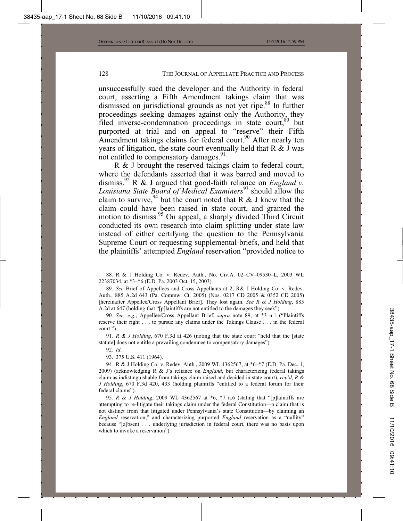unsuccessfully sued the developer and the Authority in federal court, asserting a Fifth Amendment takings claim that was dismissed on jurisdictional grounds as not yet ripe.<sup>88</sup> In further proceedings seeking damages against only the Authority, they filed inverse-condemnation proceedings in state court, 89 but purported at trial and on appeal to "reserve" their Fifth Amendment takings claims for federal court.<sup>90</sup> After nearly ten years of litigation, the state court eventually held that R & J was not entitled to compensatory damages.<sup>91</sup>

R & J brought the reserved takings claim to federal court, where the defendants asserted that it was barred and moved to dismiss.<sup>92</sup> R & J argued that good-faith reliance on *England v*. *Louisiana State Board of Medical Examiners*93 should allow the claim to survive, <sup>94</sup> but the court noted that R & J knew that the claim could have been raised in state court, and granted the motion to dismiss.<sup>95</sup> On appeal, a sharply divided Third Circuit conducted its own research into claim splitting under state law instead of either certifying the question to the Pennsylvania Supreme Court or requesting supplemental briefs, and held that the plaintiffs' attempted *England* reservation "provided notice to

91*. R & J Holding*, 670 F.3d at 426 (noting that the state court "held that the [state statute] does not entitle a prevailing condemnee to compensatory damages").

92*. Id*.

93. 375 U.S. 411 (1964).

94*.* R & J Holding Co. v. Redev. Auth., 2009 WL 4362567, at \*6–\*7 (E.D. Pa. Dec. 1, 2009) (acknowledging R & J's reliance on *England*, but characterizing federal takings claim as indistinguishable from takings claim raised and decided in state court), *rev'd*, *R & J Holding*, 670 F.3d 420, 433 (holding plaintiffs "entitled to a federal forum for their federal claims").

95*. R & J Holding*, 2009 WL 4362567 at \*6, \*7 n.6 (stating that "[p]laintiffs are attempting to re-litigate their takings claim under the federal Constitution—a claim that is not distinct from that litigated under Pennsylvania's state Constitution—by claiming an *England* reservation," and characterizing purported *England* reservation as a "nullity" because "[a]bsent . . . underlying jurisdiction in federal court, there was no basis upon which to invoke a reservation").

<sup>88</sup>*.* R & J Holding Co. v. Redev. Auth., No. Civ.A. 02–CV–09530–L, 2003 WL 22387034, at \*3–\*6 (E.D. Pa. 2003 Oct. 15, 2003).

<sup>89</sup>*. See* Brief of Appellees and Cross Appellants at 2, R& J Holding Co. v. Redev. Auth*.*, 885 A.2d 643 (Pa. Commw. Ct. 2005) (Nos. 0217 CD 2005 & 0352 CD 2005) [hereinafter Appellee/Cross Appellant Brief]. They lost again. *See R & J Holding*, 885 A.2d at 647 (holding that "[p]laintiffs are not entitled to the damages they seek").

<sup>90</sup>*. See, e.g.*, Appellee/Cross Appellant Brief, *supra* note 89, at \*3 n.1 ("Plaintiffs reserve their right . . . to pursue any claims under the Takings Clause . . . in the federal court.").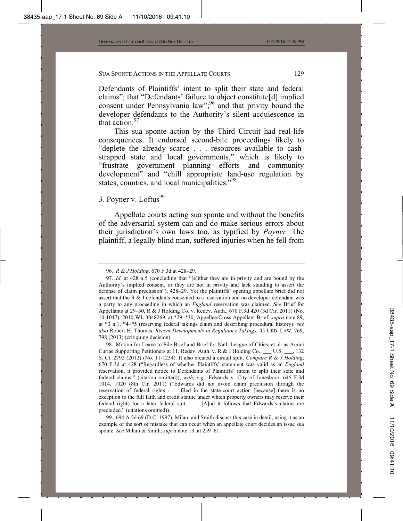Defendants of Plaintiffs' intent to split their state and federal claims"; that "Defendants' failure to object constitute[d] implied consent under Pennsylvania law";<sup>96</sup> and that privity bound the developer defendants to the Authority's silent acquiescence in that action. $97$ 

This sua sponte action by the Third Circuit had real-life consequences. It endorsed second-bite proceedings likely to "deplete the already scarce . . . resources available to cashstrapped state and local governments," which is likely to "frustrate government planning efforts and community development" and "chill appropriate land-use regulation by states, counties, and local municipalities."<sup>98</sup>

# 3. Poyner v. Loftus<sup>99</sup>

Appellate courts acting sua sponte and without the benefits of the adversarial system can and do make serious errors about their jurisdiction's own laws too, as typified by *Poyner*. The plaintiff, a legally blind man, suffered injuries when he fell from

 99. 694 A.2d 69 (D.C. 1997). Milani and Smith discuss this case in detail, using it as an example of the sort of mistake that can occur when an appellate court decides an issue sua sponte. *See* Milani & Smith, *supra* note 13, at 259–61.

<sup>96</sup>*. R & J Holding*, 670 F.3d at 428–29.

<sup>97</sup>*. Id.* at 428 n.5 (concluding that "[e]ither they are in privity and are bound by the Authority's implied consent, or they are not in privity and lack standing to assert the defense of claim preclusion"), 428–29. Yet the plaintiffs' opening appellate brief did not assert that the R & J defendants consented to a reservation and no developer defendant was a party to any proceeding in which an *England* reservation was claimed. *See* Brief for Appellants at 29–30, R & J Holding Co. v. Redev. Auth., 670 F.3d 420 (3d Cir. 2011) (No. 10-1047), 2010 WL 3048269, at \*29–\*30; Appellee/Cross Appellant Brief, *supra* note 89, at \*3 n.1, \*4–\*5 (reserving federal takings claim and describing procedural history); *see also* Robert H. Thomas, *Recent Developments in Regulatory Takings*, 45 URB. LAW. 769, 798 (2013) (critiquing decision).

 <sup>98.</sup> Motion for Leave to File Brief and Brief for Natl. League of Cities, et al. as Amici Curiae Supporting Petitioners at 11, Redev. Auth. v. R & J Holding Co., \_\_\_ U.S. \_\_\_, 132 S. Ct. 2792 (2012) (No. 11-1234). It also created a circuit split. *Compare R & J Holding*, 670 F.3d at 428 ("Regardless of whether Plaintiffs' statement was valid as an *England* reservation, it provided notice to Defendants of Plaintiffs' intent to split their state and federal claims." (citation omitted)), *with, e.g.*, Edwards v. City of Jonesboro, 645 F.3d 1014, 1020 (8th Cir. 2011) ("Edwards did not avoid claim preclusion through the reservation of federal rights . . . filed in the state-court action [because] there is no exception to the full faith and credit statute under which property owners may reserve their federal rights for a later federal suit. . . . [A]nd it follows that Edwards's claims are precluded." (citations omitted)).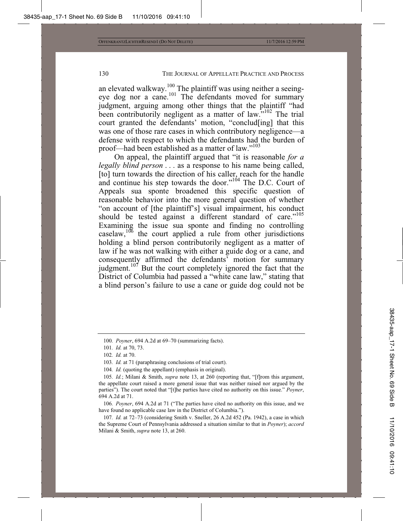an elevated walkway.<sup>100</sup> The plaintiff was using neither a seeingeye dog nor a cane.<sup>101</sup> The defendants moved for summary judgment, arguing among other things that the plaintiff "had been contributorily negligent as a matter of law."<sup>102</sup> The trial court granted the defendants' motion, "conclud[ing] that this was one of those rare cases in which contributory negligence—a defense with respect to which the defendants had the burden of proof—had been established as a matter of law."<sup>103</sup>

On appeal, the plaintiff argued that "it is reasonable *for a legally blind person* . . . as a response to his name being called, [to] turn towards the direction of his caller, reach for the handle and continue his step towards the door."<sup>104</sup> The D.C. Court of Appeals sua sponte broadened this specific question of reasonable behavior into the more general question of whether "on account of [the plaintiff's] visual impairment, his conduct should be tested against a different standard of care."<sup>105</sup> Examining the issue sua sponte and finding no controlling  $\frac{106}{106}$  the court applied a rule from other jurisdictions holding a blind person contributorily negligent as a matter of law if he was not walking with either a guide dog or a cane, and consequently affirmed the defendants' motion for summary judgment.<sup>107</sup> But the court completely ignored the fact that the District of Columbia had passed a "white cane law," stating that a blind person's failure to use a cane or guide dog could not be

106*. Poyner*, 694 A.2d at 71 ("The parties have cited no authority on this issue, and we have found no applicable case law in the District of Columbia.").

107*. Id.* at 72–73 (considering Smith v. Sneller, 26 A.2d 452 (Pa. 1942), a case in which the Supreme Court of Pennsylvania addressed a situation similar to that in *Poyner*); *accord*  Milani & Smith, *supra* note 13, at 260.

<sup>100</sup>*. Poyner*, 694 A.2d at 69–70 (summarizing facts).

<sup>101</sup>*. Id.* at 70, 73.

<sup>102</sup>*. Id.* at 70.

<sup>103</sup>*. Id.* at 71 (paraphrasing conclusions of trial court).

<sup>104</sup>*. Id.* (quoting the appellant) (emphasis in original).

<sup>105</sup>*. Id.*; Milani & Smith, *supra* note 13, at 260 (reporting that, "[f]rom this argument, the appellate court raised a more general issue that was neither raised nor argued by the parties"). The court noted that "[t]he parties have cited no authority on this issue." *Poyner*, 694 A.2d at 71.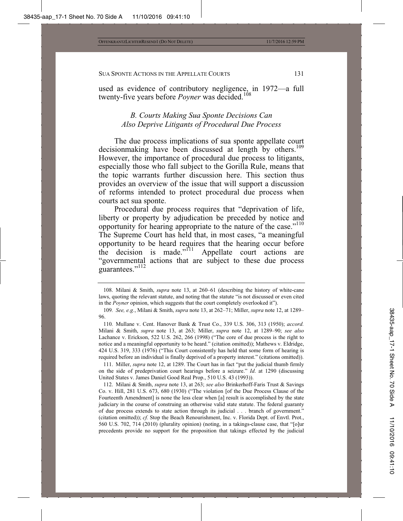used as evidence of contributory negligence, in 1972—a full twenty-five years before *Poyner* was decided.<sup>108</sup>

## *B. Courts Making Sua Sponte Decisions Can Also Deprive Litigants of Procedural Due Process*

The due process implications of sua sponte appellate court decisionmaking have been discussed at length by others.<sup>109</sup> However, the importance of procedural due process to litigants, especially those who fall subject to the Gorilla Rule, means that the topic warrants further discussion here. This section thus provides an overview of the issue that will support a discussion of reforms intended to protect procedural due process when courts act sua sponte.

Procedural due process requires that "deprivation of life, liberty or property by adjudication be preceded by notice and opportunity for hearing appropriate to the nature of the case."110 The Supreme Court has held that, in most cases, "a meaningful opportunity to be heard requires that the hearing occur before the decision is made." $111$  Appellate court actions are "governmental actions that are subject to these due process guarantees."<sup>112</sup>

110*.* Mullane v. Cent. Hanover Bank & Trust Co., 339 U.S. 306, 313 (1950); *accord.* Milani & Smith, *supra* note 13, at 263; Miller, *supra* note 12, at 1289–90; *see also* Lachance v. Erickson, 522 U.S. 262, 266 (1998) ("The core of due process is the right to notice and a meaningful opportunity to be heard." (citation omitted)); Mathews v. Eldridge, 424 U.S. 319, 333 (1976) ("This Court consistently has held that some form of hearing is required before an individual is finally deprived of a property interest." (citations omitted)).

 111. Miller, *supra* note 12, at 1289. The Court has in fact "put the judicial thumb firmly on the side of predeprivation court hearings before a seizure." *Id*. at 1290 (discussing United States v. James Daniel Good Real Prop., 510 U.S. 43 (1993)).

 112. Milani & Smith, *supra* note 13, at 263; *see also* Brinkerhoff-Faris Trust & Savings Co. v. Hill, 281 U.S. 673, 680 (1930) ("The violation [of the Due Process Clause of the Fourteenth Amendment] is none the less clear when [a] result is accomplished by the state judiciary in the course of construing an otherwise valid state statute. The federal guaranty of due process extends to state action through its judicial . . . branch of government." (citation omitted)); *cf.* Stop the Beach Renourishment, Inc. v. Florida Dept. of Envtl. Prot., 560 U.S. 702, 714 (2010) (plurality opinion) (noting, in a takings-clause case, that "[o]ur precedents provide no support for the proposition that takings effected by the judicial

 <sup>108.</sup> Milani & Smith, *supra* note 13, at 260–61 (describing the history of white-cane laws, quoting the relevant statute, and noting that the statute "is not discussed or even cited in the *Poyner* opinion, which suggests that the court completely overlooked it").

<sup>109</sup>*. See, e.g.*, Milani & Smith, *supra* note 13, at 262–71; Miller, *supra* note 12, at 1289– 96.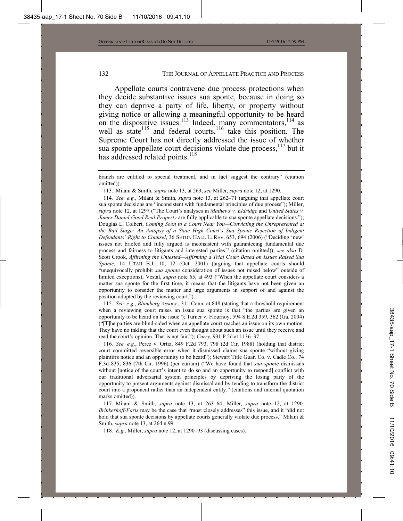Appellate courts contravene due process protections when they decide substantive issues sua sponte, because in doing so they can deprive a party of life, liberty, or property without giving notice or allowing a meaningful opportunity to be heard on the dispositive issues.<sup>113</sup> Indeed, many commentators,<sup>114</sup> as well as state<sup>115</sup> and federal courts,<sup>116</sup> take this position. The Supreme Court has not directly addressed the issue of whether sua sponte appellate court decisions violate due process,<sup>117</sup> but it has addressed related points.<sup>118</sup>

114*. See, e.g.*, Milani & Smith, *supra* note 13, at 262–71 (arguing that appellate court sua sponte decisions are "inconsistent with fundamental principles of due process"); Miller, *supra* note 12, at 1297 ("The Court's analyses in *Mathews v. Eldridge* and *United States v. James Daniel Good Real Property* are fully applicable to sua sponte appellate decisions."); Douglas L. Colbert, *Coming Soon to a Court Near You—Convicting the Unrepresented at the Bail Stage: An Autopsy of a State High Court's Sua Sponte Rejection of Indigent Defendants' Right to Counsel*, 36 SETON HALL L. REV. 653, 694 (2006) ("Deciding 'new' issues not briefed and fully argued is inconsistent with guaranteeing fundamental due process and fairness to litigants and interested parties." (citation omitted)); *see also* D. Scott Crook, *Affirming the Untested—Affirming a Trial Court Based on Issues Raised Sua Sponte*, 14 UTAH B.J. 10, 12 (Oct. 2001) (arguing that appellate courts should "unequivocally prohibit *sua sponte* consideration of issues not raised below" outside of limited exceptions); Vestal, *supra* note 65, at 493 ("When the appellate court considers a matter sua sponte for the first time, it means that the litigants have not been given an opportunity to consider the matter and urge arguments in support of and against the position adopted by the reviewing court.").

115*. See, e.g.*, *Blumberg Assocs*., 311 Conn. at 848 (stating that a threshold requirement when a reviewing court raises an issue sua sponte is that "the parties are given an opportunity to be heard on the issue"); Turner v. Flournoy, 594 S.E.2d 359, 362 (Ga. 2004) ("[T]he parties are blind-sided when an appellate court reaches an issue on its own motion. They have no inkling that the court even thought about such an issue until they receive and read the court's opinion. That is not fair."); *Curry*, 931 P.2d at 1136–37.

116*. See, e.g.*, Perez v. Ortiz, 849 F.2d 793, 798 (2d Cir. 1988) (holding that district court committed reversible error when it dismissed claims sua sponte "without giving plaintiffs notice and an opportunity to be heard"); Stewart Title Guar. Co. v. Cadle Co., 74 F.3d 835, 836 (7th Cir. 1996) (per curiam) ("We have found that *sua sponte* dismissals without [notice of the court's intent to do so and an opportunity to respond] conflict with our traditional adversarial system principles by depriving the losing party of the opportunity to present arguments against dismissal and by tending to transform the district court into a proponent rather than an independent entity." (citations and internal quotation marks omitted)).

 117. Milani & Smith, *supra* note 13, at 263–64; Miller, *supra* note 12, at 1290. *Brinkerhoff-Faris* may be the case that "most closely addresses" this issue, and it "did not hold that sua sponte decisions by appellate courts generally violate due process." Milani & Smith, *supra* note 13, at 264 n.99.

118*. E.g.*, Miller, *supra* note 12, at 1290–93 (discussing cases).

branch are entitled to special treatment, and in fact suggest the contrary" (citation omitted)).

 <sup>113.</sup> Milani & Smith, *supra* note 13, at 263; *see* Miller, *supra* note 12, at 1290.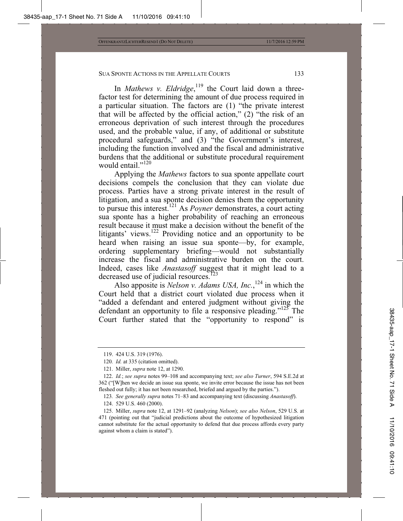In *Mathews v. Eldridge*,<sup>119</sup> the Court laid down a threefactor test for determining the amount of due process required in a particular situation. The factors are (1) "the private interest that will be affected by the official action," (2) "the risk of an erroneous deprivation of such interest through the procedures used, and the probable value, if any, of additional or substitute procedural safeguards," and (3) "the Government's interest, including the function involved and the fiscal and administrative burdens that the additional or substitute procedural requirement would entail."<sup>120</sup>

Applying the *Mathews* factors to sua sponte appellate court decisions compels the conclusion that they can violate due process. Parties have a strong private interest in the result of litigation, and a sua sponte decision denies them the opportunity to pursue this interest.121 As *Poyner* demonstrates, a court acting sua sponte has a higher probability of reaching an erroneous result because it must make a decision without the benefit of the litigants' views.<sup>122</sup> Providing notice and an opportunity to be heard when raising an issue sua sponte—by, for example, ordering supplementary briefing—would not substantially increase the fiscal and administrative burden on the court. Indeed, cases like *Anastasoff* suggest that it might lead to a decreased use of judicial resources.<sup> $123$ </sup>

Also apposite is *Nelson v. Adams USA, Inc.*,<sup>124</sup> in which the Court held that a district court violated due process when it "added a defendant and entered judgment without giving the defendant an opportunity to file a responsive pleading."<sup>125</sup> The Court further stated that the "opportunity to respond" is

 <sup>119. 424</sup> U.S. 319 (1976).

<sup>120</sup>*. Id.* at 335 (citation omitted).

 <sup>121.</sup> Miller, *supra* note 12, at 1290.

 <sup>122.</sup> *Id.*; *see supra* notes 99–108 and accompanying text; *see also Turner*, 594 S.E.2d at 362 ("[W]hen we decide an issue sua sponte, we invite error because the issue has not been fleshed out fully; it has not been researched, briefed and argued by the parties.").

<sup>123</sup>*. See generally supra* notes 71–83 and accompanying text (discussing *Anastasoff*).

 <sup>124. 529</sup> U.S. 460 (2000).

 <sup>125.</sup> Miller, *supra* note 12, at 1291–92 (analyzing *Nelson*); *see also Nelson*, 529 U.S. at 471 (pointing out that "judicial predictions about the outcome of hypothesized litigation cannot substitute for the actual opportunity to defend that due process affords every party against whom a claim is stated").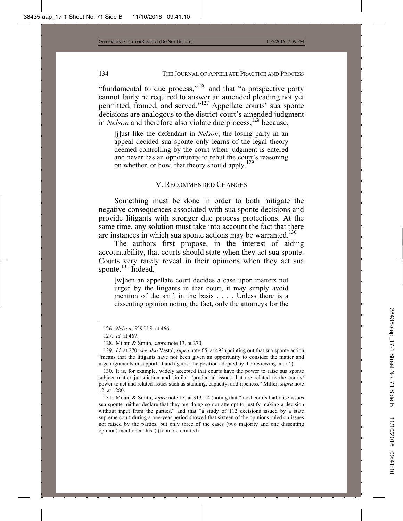"fundamental to due process," $126$  and that "a prospective party cannot fairly be required to answer an amended pleading not yet permitted, framed, and served."127 Appellate courts' sua sponte decisions are analogous to the district court's amended judgment in *Nelson* and therefore also violate due process,<sup>128</sup> because,

[j]ust like the defendant in *Nelson*, the losing party in an appeal decided sua sponte only learns of the legal theory deemed controlling by the court when judgment is entered and never has an opportunity to rebut the court's reasoning on whether, or how, that theory should apply.<sup>1</sup>

#### V. RECOMMENDED CHANGES

Something must be done in order to both mitigate the negative consequences associated with sua sponte decisions and provide litigants with stronger due process protections. At the same time, any solution must take into account the fact that there are instances in which sua sponte actions may be warranted.<sup>130</sup>

The authors first propose, in the interest of aiding accountability, that courts should state when they act sua sponte. Courts very rarely reveal in their opinions when they act sua sponte. $^{131}$  Indeed,

[w]hen an appellate court decides a case upon matters not urged by the litigants in that court, it may simply avoid mention of the shift in the basis . . . . Unless there is a dissenting opinion noting the fact, only the attorneys for the

 <sup>126.</sup> *Nelson*, 529 U.S. at 466.

<sup>127</sup>*. Id.* at 467.

 <sup>128.</sup> Milani & Smith, *supra* note 13, at 270.

 <sup>129.</sup> *Id.* at 270; *see also* Vestal, *supra* note 65, at 493 (pointing out that sua sponte action "means that the litigants have not been given an opportunity to consider the matter and urge arguments in support of and against the position adopted by the reviewing court").

 <sup>130.</sup> It is, for example, widely accepted that courts have the power to raise sua sponte subject matter jurisdiction and similar "prudential issues that are related to the courts' power to act and related issues such as standing, capacity, and ripeness." Miller, *supra* note 12, at 1280.

 <sup>131.</sup> Milani & Smith, *supra* note 13, at 313–14 (noting that "most courts that raise issues sua sponte neither declare that they are doing so nor attempt to justify making a decision without input from the parties," and that "a study of 112 decisions issued by a state supreme court during a one-year period showed that sixteen of the opinions ruled on issues not raised by the parties, but only three of the cases (two majority and one dissenting opinion) mentioned this") (footnote omitted).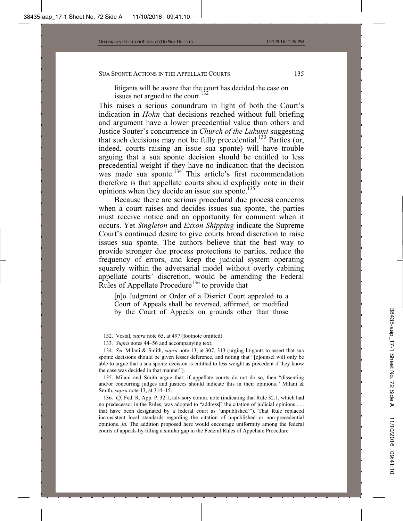litigants will be aware that the court has decided the case on issues not argued to the court.

This raises a serious conundrum in light of both the Court's indication in *Hohn* that decisions reached without full briefing and argument have a lower precedential value than others and Justice Souter's concurrence in *Church of the Lukumi* suggesting that such decisions may not be fully precedential.<sup>133</sup> Parties (or, indeed, courts raising an issue sua sponte) will have trouble arguing that a sua sponte decision should be entitled to less precedential weight if they have no indication that the decision was made sua sponte.<sup>134</sup> This article's first recommendation therefore is that appellate courts should explicitly note in their opinions when they decide an issue sua sponte.<sup>135</sup>

Because there are serious procedural due process concerns when a court raises and decides issues sua sponte, the parties must receive notice and an opportunity for comment when it occurs. Yet *Singleton* and *Exxon Shipping* indicate the Supreme Court's continued desire to give courts broad discretion to raise issues sua sponte. The authors believe that the best way to provide stronger due process protections to parties, reduce the frequency of errors, and keep the judicial system operating squarely within the adversarial model without overly cabining appellate courts' discretion, would be amending the Federal Rules of Appellate Procedure<sup>136</sup> to provide that

[n]o Judgment or Order of a District Court appealed to a Court of Appeals shall be reversed, affirmed, or modified by the Court of Appeals on grounds other than those

 <sup>132.</sup> Vestal, *supra* note 65, at 497 (footnote omitted).

<sup>133</sup>*. Supra* notes 44–56 and accompanying text.

<sup>134</sup>*. See* Milani & Smith, *supra* note 13, at 307, 313 (urging litigants to assert that sua sponte decisions should be given lesser deference, and noting that "[c]ounsel will only be able to argue that a sua sponte decision is entitled to less weight as precedent if they know the case was decided in that manner").

 <sup>135.</sup> Milani and Smith argue that, if appellate courts do not do so, then "dissenting and/or concurring judges and justices should indicate this in their opinions." Milani  $\&$ Smith, *supra* note 13, at 314–15.

<sup>136</sup>*. Cf.* Fed. R. App. P. 32.1, advisory comm. note (indicating that Rule 32.1, which had no predecessor in the Rules, was adopted to "address[] the citation of judicial opinions . . . that have been designated by a federal court as 'unpublished'"). That Rule replaced inconsistent local standards regarding the citation of unpublished or non-precedential opinions. *Id.* The addition proposed here would encourage uniformity among the federal courts of appeals by filling a similar gap in the Federal Rules of Appellate Procedure.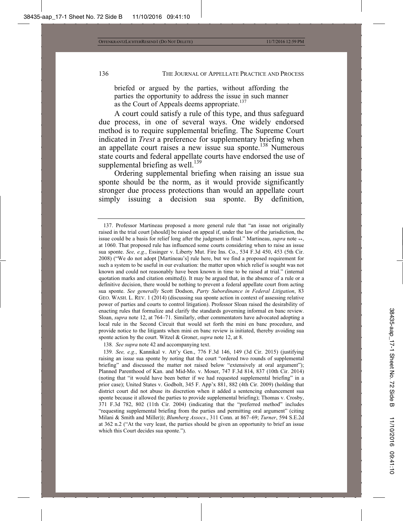briefed or argued by the parties, without affording the parties the opportunity to address the issue in such manner as the Court of Appeals deems appropriate.<sup>137</sup>

A court could satisfy a rule of this type, and thus safeguard due process, in one of several ways. One widely endorsed method is to require supplemental briefing. The Supreme Court indicated in *Trest* a preference for supplementary briefing when an appellate court raises a new issue sua sponte.<sup>138</sup> Numerous state courts and federal appellate courts have endorsed the use of supplemental briefing as well.<sup>139</sup>

Ordering supplemental briefing when raising an issue sua sponte should be the norm, as it would provide significantly stronger due process protections than would an appellate court simply issuing a decision sua sponte. By definition,

138*. See supra* note 42 and accompanying text.

 <sup>137.</sup> Professor Martineau proposed a more general rule that "an issue not originally raised in the trial court [should] be raised on appeal if, under the law of the jurisdiction, the issue could be a basis for relief long after the judgment is final." Martineau, *supra* note \*\*, at 1060. That proposed rule has influenced some courts considering when to raise an issue sua sponte. *See, e.g.*, Essinger v. Liberty Mut. Fire Ins. Co., 534 F.3d 450, 453 (5th Cir. 2008) ("We do not adopt [Martineau's] rule here, but we find a proposed requirement for such a system to be useful in our evaluation: the matter upon which relief is sought was not known and could not reasonably have been known in time to be raised at trial." (internal quotation marks and citation omitted)). It may be argued that, in the absence of a rule or a definitive decision, there would be nothing to prevent a federal appellate court from acting sua sponte. *See generally* Scott Dodson, *Party Subordinance in Federal Litigation*, 83 GEO. WASH. L. REV. 1 (2014) (discussing sua sponte action in context of assessing relative power of parties and courts to control litigation). Professor Sloan raised the desirability of enacting rules that formalize and clarify the standards governing informal en banc review. Sloan, *supra* note 12, at 764–71. Similarly, other commentators have advocated adopting a local rule in the Second Circuit that would set forth the mini en banc procedure, and provide notice to the litigants when mini en banc review is initiated, thereby avoiding sua sponte action by the court. Witzel & Groner, *supra* note 12, at 8.

<sup>139</sup>*. See, e.g.*, Kannikal v. Att'y Gen., 776 F.3d 146, 149 (3d Cir. 2015) (justifying raising an issue sua sponte by noting that the court "ordered two rounds of supplemental briefing" and discussed the matter not raised below "extensively at oral argument"); Planned Parenthood of Kan. and Mid-Mo. v. Moser, 747 F.3d 814, 837 (10th Cir. 2014) (noting that "it would have been better if we had requested supplemental briefing" in a prior case); United States v. Godbolt, 345 F. App'x 881, 882 (4th Cir. 2009) (holding that district court did not abuse its discretion when it added a sentencing enhancement sua sponte because it allowed the parties to provide supplemental briefing); Thomas v. Crosby, 371 F.3d 782, 802 (11th Cir. 2004) (indicating that the "preferred method" includes "requesting supplemental briefing from the parties and permitting oral argument" (citing Milani & Smith and Miller)); *Blumberg Assocs*., 311 Conn. at 867–69; *Turner*, 594 S.E.2d at 362 n.2 ("At the very least, the parties should be given an opportunity to brief an issue which this Court decides sua sponte.").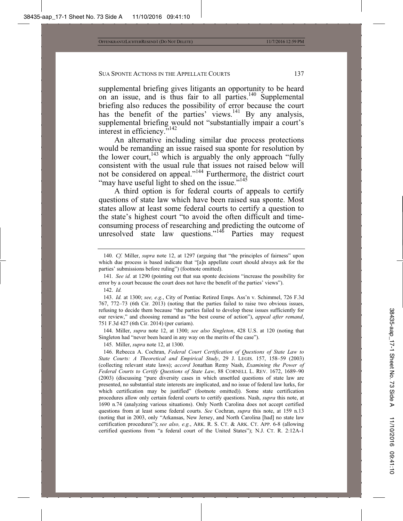supplemental briefing gives litigants an opportunity to be heard on an issue, and is thus fair to all parties.<sup>140</sup> Supplemental briefing also reduces the possibility of error because the court has the benefit of the parties' views.<sup>141</sup> By any analysis, supplemental briefing would not "substantially impair a court's interest in efficiency."<sup>142</sup>

An alternative including similar due process protections would be remanding an issue raised sua sponte for resolution by the lower court,  $143$  which is arguably the only approach "fully" consistent with the usual rule that issues not raised below will not be considered on appeal."<sup>144</sup> Furthermore, the district court "may have useful light to shed on the issue."<sup>145</sup>

A third option is for federal courts of appeals to certify questions of state law which have been raised sua sponte. Most states allow at least some federal courts to certify a question to the state's highest court "to avoid the often difficult and timeconsuming process of researching and predicting the outcome of unresolved state law questions."<sup>146</sup> Parties may request

 144. Miller, *supra* note 12, at 1300; *see also Singleton*, 428 U.S. at 120 (noting that Singleton had "never been heard in any way on the merits of the case").

145. Miller, *supra* note 12, at 1300.

 146. Rebecca A. Cochran, *Federal Court Certification of Questions of State Law to State Courts: A Theoretical and Empirical Study*, 29 J. LEGIS. 157, 158–59 (2003) (collecting relevant state laws); *accord* Jonathan Remy Nash, *Examining the Power of Federal Courts to Certify Questions of State Law*, 88 CORNELL L. REV. 1672, 1689–90 (2003) (discussing "pure diversity cases in which unsettled questions of state law are presented, no substantial state interests are implicated, and no issue of federal law lurks, for which certification may be justified" (footnote omitted)). Some state certification procedures allow only certain federal courts to certify questions. Nash, *supra* this note, at 1690 n.74 (analyzing various situations). Only North Carolina does not accept certified questions from at least some federal courts. *See* Cochran, *supra* this note, at 159 n.13 (noting that in 2003, only "Arkansas, New Jersey, and North Carolina [had] no state law certification procedures"); *see also, e.g.*, ARK. R. S. CT.&ARK. CT. APP. 6-8 (allowing certified questions from "a federal court of the United States"); N.J. CT. R. 2:12A-1

<sup>140</sup>*. Cf.* Miller, *supra* note 12, at 1297 (arguing that "the principles of fairness" upon which due process is based indicate that "[a]n appellate court should always ask for the parties' submissions before ruling") (footnote omitted).

<sup>141</sup>*. See id.* at 1290 (pointing out that sua sponte decisions "increase the possibility for error by a court because the court does not have the benefit of the parties' views").

 <sup>142.</sup> *Id.*

 <sup>143.</sup> *Id.* at 1300; *see, e.g.*, City of Pontiac Retired Emps. Ass'n v. Schimmel, 726 F.3d 767, 772–73 (6th Cir. 2013) (noting that the parties failed to raise two obvious issues, refusing to decide them because "the parties failed to develop these issues sufficiently for our review," and choosing remand as "the best course of action"), *appeal after remand*, 751 F.3d 427 (6th Cir. 2014) (per curiam).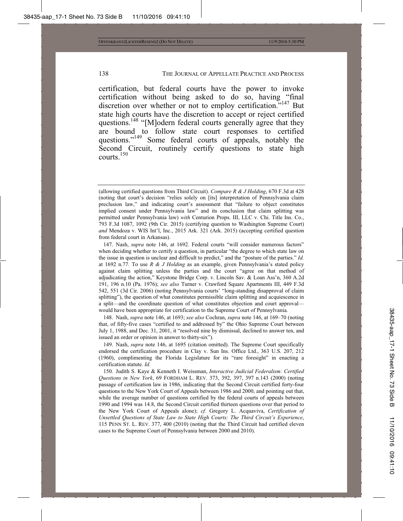certification, but federal courts have the power to invoke certification without being asked to do so, having "final discretion over whether or not to employ certification.<sup>7147</sup> But state high courts have the discretion to accept or reject certified questions.<sup>148</sup> "[M]odern federal courts generally agree that they are bound to follow state court responses to certified questions."<sup>149</sup> Some federal courts of appeals, notably the Second Circuit, routinely certify questions to state high courts<sup>150</sup>

 147. Nash, *supra* note 146, at 1692. Federal courts "will consider numerous factors" when deciding whether to certify a question, in particular "the degree to which state law on the issue in question is unclear and difficult to predict," and the "posture of the parties." *Id.* at 1692 n.77. To use *R & J Holding* as an example, given Pennsylvania's stated policy against claim splitting unless the parties and the court "agree on that method of adjudicating the action," Keystone Bridge Corp. v. Lincoln Sav. & Loan Ass'n, 360 A.2d 191, 196 n.10 (Pa. 1976); *see also* Turner v. Crawford Square Apartments III, 449 F.3d 542, 551 (3d Cir. 2006) (noting Pennsylvania courts' "long-standing disapproval of claim splitting"), the question of what constitutes permissible claim splitting and acquiescence in a split—and the coordinate question of what constitutes objection and court approval would have been appropriate for certification to the Supreme Court of Pennsylvania.

 148. Nash, *supra* note 146, at 1693; *see also* Cochran, *supra* note 146, at 169–70 (noting that, of fifty-five cases "certified to and addressed by" the Ohio Supreme Court between July 1, 1988, and Dec. 31, 2001, it "resolved nine by dismissal, declined to answer ten, and issued an order or opinion in answer to thirty-six").

 149. Nash, *supra* note 146, at 1695 (citation omitted). The Supreme Court specifically endorsed the certification procedure in Clay v. Sun Ins. Office Ltd., 363 U.S. 207, 212 (1960), complimenting the Florida Legislature for its "rare foresight" in enacting a certification statute. *Id.*

150*.* Judith S. Kaye & Kenneth I. Weissman, *Interactive Judicial Federalism: Certified Questions in New York*, 69 FORDHAM L. REV. 373, 392, 397, 397 n.143 (2000) (noting passage of certification law in 1986, indicating that the Second Circuit certified forty-four questions to the New York Court of Appeals between 1986 and 2000, and pointing out that, while the average number of questions certified by the federal courts of appeals between 1990 and 1994 was 14.8, the Second Circuit certified thirteen questions over that period to the New York Court of Appeals alone); *cf.* Gregory L. Acquaviva, *Certification of Unsettled Questions of State Law to State High Courts: The Third Circuit's Experience*, 115 PENN ST. L. REV. 377, 400 (2010) (noting that the Third Circuit had certified eleven cases to the Supreme Court of Pennsylvania between 2000 and 2010).

<sup>(</sup>allowing certified questions from Third Circuit). *Compare R & J Holding*, 670 F.3d at 428 (noting that court's decision "relies solely on [its] interpretation of Pennsylvania claim preclusion law," and indicating court's assessment that "failure to object constitutes implied consent under Pennsylvania law" and its conclusion that claim splitting was permitted under Pennsylvania law) *with* Centurion Props. III, LLC v. Chi. Title Ins. Co., 793 F.3d 1087, 1092 (9th Cir. 2015) (certifying question to Washington Supreme Court) *and* Mendoza v. WIS Int'l, Inc., 2015 Ark. 321 (Ark. 2015) (accepting certified question from federal court in Arkansas).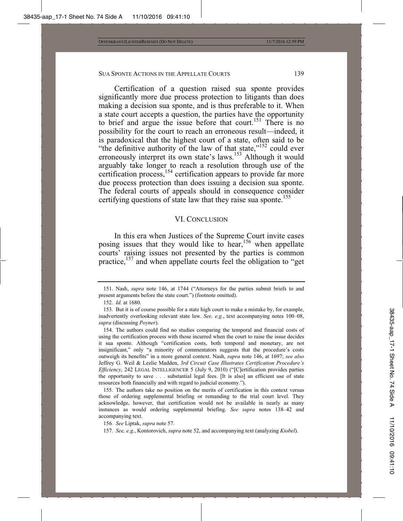Certification of a question raised sua sponte provides significantly more due process protection to litigants than does making a decision sua sponte, and is thus preferable to it. When a state court accepts a question, the parties have the opportunity to brief and argue the issue before that court.<sup>151</sup> There is no possibility for the court to reach an erroneous result—indeed, it is paradoxical that the highest court of a state, often said to be "the definitive authority of the law of that state,"<sup>152</sup> could ever erroneously interpret its own state's laws.<sup>153</sup> Although it would arguably take longer to reach a resolution through use of the certification process,<sup>154</sup> certification appears to provide far more due process protection than does issuing a decision sua sponte. The federal courts of appeals should in consequence consider certifying questions of state law that they raise sua sponte.<sup>155</sup>

#### VI. CONCLUSION

In this era when Justices of the Supreme Court invite cases posing issues that they would like to hear,  $156$  when appellate courts' raising issues not presented by the parties is common practice,<sup>157</sup> and when appellate courts feel the obligation to "get

 <sup>151.</sup> Nash, *supra* note 146, at 1744 ("Attorneys for the parties submit briefs to and present arguments before the state court.") (footnote omitted).

 <sup>152.</sup> *Id.* at 1680.

 <sup>153.</sup> But it is of course possible for a state high court to make a mistake by, for example, inadvertently overlooking relevant state law. *See, e.g.*, text accompanying notes 100–08, *supra* (discussing *Poyner*).

 <sup>154.</sup> The authors could find no studies comparing the temporal and financial costs of using the certification process with those incurred when the court to raise the issue decides it sua sponte. Although "certification costs, both temporal and monetary, are not insignificant," only "a minority of commentators suggests that the procedure's costs outweigh its benefits" in a more general context. Nash, *supra* note 146, at 1697; *see also*  Jeffrey G. Weil & Lezlie Madden, *3rd Circuit Case Illustrates Certification Procedure's Efficiency*, 242 LEGAL INTELLIGENCER 5 (July 9, 2010) ("[C]ertification provides parties the opportunity to save . . . substantial legal fees. [It is also] an efficient use of state resources both financially and with regard to judicial economy.").

 <sup>155.</sup> The authors take no position on the merits of certification in this context versus those of ordering supplemental briefing or remanding to the trial court level. They acknowledge, however, that certification would not be available in nearly as many instances as would ordering supplemental briefing. *See supra* notes 138–42 and accompanying text.

<sup>156</sup>*. See* Liptak, *supra* note 57.

<sup>157</sup>*. See, e.g.*, Kontorovich, *supra* note 52, and accompanying text (analyzing *Kiobel*).